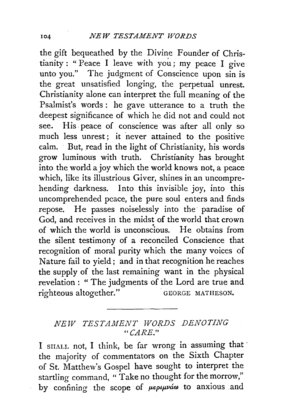the gift bequeathed by the Divine Founder of Christianity : " Peace I leave with you ; my peace I give unto you." The judgment of Conscience upon sin is the great unsatisfied longing, the perpetual unrest. Christianity alone can interpret the full meaning of the Psalmist's words : he gave utterance to a truth the deepest significance of which he did not and could not see. His. peace of conscience was after all only so much less unrest; it never attained to the positive calm. But, read in the light of Christianity, his words grow luminous with truth. Christianity has brought into the world a joy which the world knows not, a peace which, like its illustrious Giver, shines in an uncomprehending darkness. Into this invisible joy, into this uncomprehended peace, the pure soul enters and finds. repose. He passes noiselessly into the· paradise of God, and receives in the midst of the world that crown of which the world is unconscious. He obtains from the silent testimony of a reconciled Conscience that recognition of moral purity which the many voices of Nature fail to yield; and in that recognition he reaches the supply of the last remaining want in the physical revelation : " The judgments of the Lord are true and righteous altogether." GEORGE MATHESON.

## *NEW TESTAllfENT WORDS DENOTING "CARE."*

I SHALL not, I think, be far wrong in assuming that the majority of commentators on the Sixth Chapter of St. Matthew's Gospel have sought to interpret the startling command, " Take no thought for the morrow," by confining the scope of  $\mu\epsilon\rho\mu\nu\alpha\omega$  to anxious and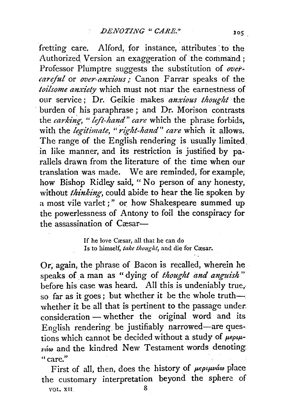fretting care. Alford, for instance, attributes to the Authorized Version an exaggeration of the command ; Professor Plumptre suggests the substitution of over*careful* or *over-anxious*; Canon Farrar speaks of the toilsome anxiety which must not mar the earnestness of our service : Dr. Geikie makes *anxious thought* the burden of his paraphrase; and Dr. Morison contrasts the *carking*, "*left-hand*" care which the phrase forbids, with the *legitimate*, "right-hand" care which it allows. The range of the English rendering is usually limited. in like manner, and its restriction is justified by parallels drawn from the literature of the time when our translation was made. We are reminded, for example, how Bishop Ridley said, " No person of any honesty, without *thinking*, could abide to hear the lie spoken by a most vile varlet ; " or how Shakespeare summed up the powerlessness of Antony to foil the conspiracy for the assassination of  $C$  $\text{c}$ sar $-$ 

> If he love Cæsar, all that he can do Is to himself, *take thought*, and die for Cæsar.

Or; again, the phrase of Bacon is recalled, wherein he speaks of. a man as " dying of *thought and anguish* " before his case was heard. All this is undeniably true, so far as it goes; but whether it be the whole truthwhether it be all that is pertinent to the passage under: consideration - whether the original word and its English rendering. be justifiably narrowed-are questions which cannot be decided without a study of  $\mu\epsilon_{\rho\mu}$ .  $v$ *iw* and the kindred New Testament words denoting, "care."

First of all, then, does the history of  $\mu\epsilon\rho\iota\mu\nu\acute{a}\omega$  place the customary interpretation beyond the sphere of VOL. XII. 8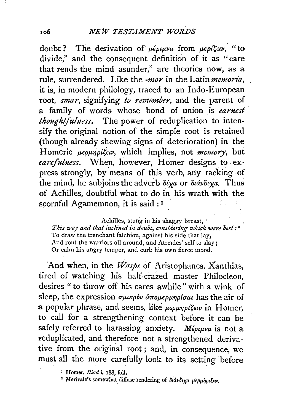doubt ? The derivation of  $\mu \epsilon \rho \mu \nu a$  from  $\mu \epsilon \rho \ell \zeta \epsilon \nu$ , "to divide," and the consequent definition of it as "care that rends the mind asunder," are theories now, as a rule, surrendered. Like the *-mor* in the Latin *memoria*, it is, in modern philology, traced to an lndo-European root, *smar,* signifying *to remember,* and the parent of a family of words whose bond of union is *earnest thoughtfulness.* The power of reduplication to intensify the original notion of the simple root is retained (though already shewing signs of deterioration) in the Homeric  $\mu\epsilon\rho\mu\eta\rho i\zeta\epsilon\upsilon$ , which implies, not *memory*, but *carefulness.* When, however, Homer designs to express strongly, by means of this verb, any racking of the mind, he subjoins the adverb  $\delta/\gamma a$  or  $\delta u \delta/\gamma a$ . Thus of Achilles, doubtful what to do in his wrath with the scornful Agamemnon, it is said : <sup>1</sup>

Achilles, stung in his shaggy breast,

This way and that inclined in doubt, considering which were best:<sup>2</sup> To draw the trenchant falchion, against his side that lay, And rout the warriors all around, and Atreïdes' self to slay; Or calm his angry temper, and curb his own fierce mood.

And when, in the *Wasps* of Aristophanes, Xanthias, tired of watching his half-crazed master Philocleon, desires " to throw off his cares awhile" with a wink of sleep, the expression  $\sigma\mu\nu\mu\rho\delta\nu \frac{\partial \sigma\mu}{\partial \rho}$  *aro<sub>pep</sub> p<sub>pp</sub> form* and **has** the air of a popular phrase, and seems, like  $\mu\epsilon\rho\mu\eta\rho\delta\zeta\epsilon\omega$  in Homer, to call for a strengthening context before it can be safely referred to harassing anxiety. *Mépuwa* is not a reduplicated, and therefore not a strengthened derivative from the original root ; and, in consequence, we must all the more carefully look to its setting before

<sup>2</sup> Merivale's somewhat diffuse rendering of διάνδιχα μερμήριξεν.

*<sup>•</sup>* Homer, *Iliad* i. 188, foll.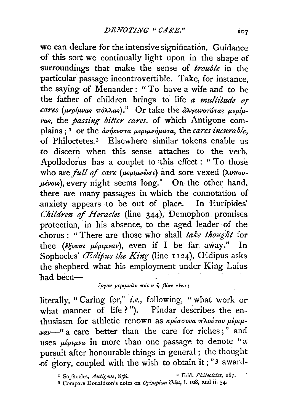we can declare for the intensive signification. Guidance of this sort we continually light upon in the shape of surroundings that make the sense of *trouble* in the particular' passage incontrovertible. Take, for instance, the saying of Menander: "To have a wife and to be the father of children brings to life *a mul(itude Of .cares (11-eplp,var;* 'lroXAar;).'' Or take the *li'JvyewoTaTar; p,eplp, var;,* the *passing bitter cares,* of which Antigone complains : <sup>I</sup> or the *avήκεστα μεριμνήματα*, the *cares incurable*, -of Philoctetes. 2 Elsewhere similar tokens enable us to discern when this sense attaches to the verb. Apollodorus has a couplet to this effect : " To those who are *full of care* (μεριμνῶσι) and sore vexed (λυπου*plvotr;),* every night seems long.'' On the other hand, there are many passages in which the connotation of anxiety appears to be out of place. In Euripides' *Children of Heracles* (line 344), Demophon promises protection, in his absence, to the aged leader of the -chorus : " There are those who shall *take thought* for thee  $(\xi_{\ell} \circ \varphi_{\ell} \circ \mu_{\ell} \circ \varphi_{\ell})$ , even if I be far away." In Sophocles' *CE dipus the King* (line 1124), CE dipus asks the shepherd what his employment under King Laius had been-

## *lpyov Jlfp•pvwv ?Toiov* lj *f3iov Tlva* ;

literally, " Caring for," *i.e.,* following, " what work or what manner of life ?"). Pindar describes the enthusiasm for athletic renown as *κρέσσονα πλούτου μέριμ-* $_{\text{wav}}$ -" a care better than the care for riches;" and uses  $\mu_{\ell}$ *e* $\mu_{\ell}$  *in* more than one passage to denote "a pursuit after honourable things in general ; the thought of glory, coupled with the wish to obtain it; "3 award-

<sup>•</sup> Sophocles, *Antigom,* 858. • Ibid. *Philoctdes,* 187.

<sup>3</sup> Compare Donaldson's notes on *Oylmpian Odes,* i. 1o8, and ii. 54·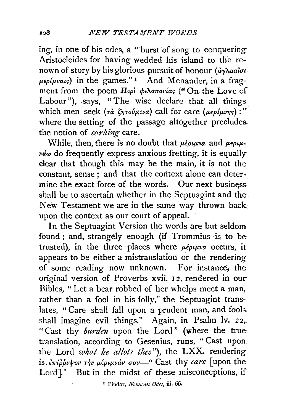ing, in one of his odes, a " burst of song to conquering-Aristocleides for having wedded his island to the renown of story by his glorious pursuit of honour (αγλααΐσι  $\mu$ *eo{uvats*) in the games."<sup>1</sup> And Menander, in a fragment from the poem Περὶ φιλοπονίας <sup>("</sup> On the Love of Labour"), says, "The wise declare that all things which men seek  $(\tau d \xi \eta \tau o \psi \psi \psi \psi a)$  call for care  $(\mu \epsilon \rho \psi \psi \psi \psi)$ : where the setting of the passage altogether precludes. the notion of *carking* care.

While, then, there is no doubt that  $\mu \epsilon \rho \mu \nu \mu \nu a$  and  $\mu \epsilon \rho \mu \mu \nu \dot{\alpha} \omega$  do frequently express anxious fretting, it is equally clear that though this may be the main, it is not the constant, sense ; and that the context alone can determine the exact force of the words. Our next business. shall be to ascertain whether in the Septuagint and the New Testament we are in the same way thrown back upon the context as our court of appeal.

In the Septuagint Version the words are but seldom found ; and, strangely enough (if Trommius is to be trusted), in the three places where  $\mu \epsilon \rho \mu \nu a$  occurs, it appears to be either a mistranslation or the rendering· of some reading now unknown. For instance, the original version of Proverbs xvii. 1 2, rendered in. our Bibles, " Let a bear robbed of her whelps meet a man, rather than a fool in his folly," the Septuagint translates, " Care shall fall upon a prudent man, and fools. shall imagine evil things." Again, in Psalm lv. 22, "Cast thy *burden* upon the Lord" (where the truetranslation, according to Gesenius, runs, "Cast upon. the Lord *what he allots thee"),* the LXX. rendering is. *επιρρινον την μέριμνάν σου*—" Cast thy *care* [upon the Lord]." But in the midst of these misconceptions, if

<sup>1</sup> Pindar, *Nemæan Odes*, iii. 66.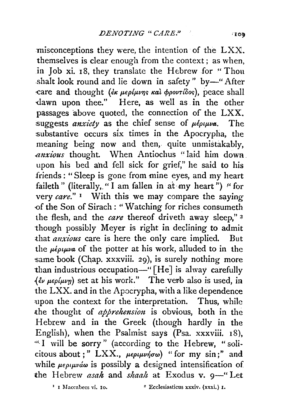misconceptions they were, the intention of the LXX. themselves is clear enough from the context; as when, in Job xi. IS, they translate the Hebrew for "Thou shalt look round and lie down in safety" by-"After care and thought (*έκ μερίμνης και φροντίδος*), peace shall -dawn upon thee." Here, as well as. in the other passages above quoted, the connection of the  $LXX$ . suggests *anxiety* as the chief sense of  $\mu \epsilon_{0} \mu_{\nu}$ . The substantive occurs six times in the Apocrypha, the meaning being now and then, quite unmistakably, *.anxious* thought. When Antiochus " laid him dowa . upon his bed and fell sick for grief," he said to his friends : "Sleep is gone from mine eyes, and my heart faileth" (literally, "I am fallen in at my heart") *"* for very *care."* 1 With this we may compare the saying of the Son of Sirach : " Watching for riches consumeth the flesh, and the *care* thereof driveth away sleep," 2 though possibly Meyer is right in declining to admit that *anxious* care is here the only care implied. But the *μέριμνα* of the potter at his work, alluded to in the same book (Chap. xxxviii. 29), is surely nothing more than industrious occupation-" [He] is alway carefully  $({\partial} \psi \mu_{\text{eff}})$  set at his work." The verb also is used, in the LXX. and in the Apocrypha, with a like dependence upon the context for the interpretation. Thus, while ·the thought of *apprehension* is obvious, both in the Hebrew and in the Greek (though hardly in the English), when the Psalmist says  $(Psa. xxxviii. 18)$ , ~c. I will be sorry" (according to the Hebrew, "solicitous about;" LXX., μεριμνήσω) "for my sin;" and while  $\mu \epsilon \rho \mu \nu \dot{\alpha} \omega$  is possibly a designed intensification of the Hebrew *asah* and *shaah* at Exodus v. 9-" Let

<sup>1</sup> I Maccabecs vi. 10. <sup>2</sup> Ecclesiasticus xxxiv. (xxxi.) 1.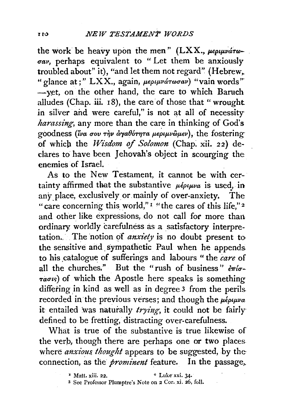the work be heavy upon the men" (LXX.,  $\mu \epsilon \rho \mu \nu \acute{a} \tau \omega$ *uav,* perhaps equivalent to " Let them be anxiously troubled about" it), "and let them not regard" (Hebrew,. <sup>"</sup> glance at;" LXX., again, μεριμνάτωσαν) "vain words" -yet, on the other hand, the care to which Baruch alludes (Chap. iii. 18), the care of those that "wrought in silver and were careful," is not at all of necessity *harassing,* any more than the care in thinking of God's goodness (ίνα σου την αγαθότητα μεριμνῶμεν), the fostering of which the *Wisdom of Solomon* (Chap. xii. 22) declares to have been Jehovah's object in scourging the enemies of Israel.

As to the New Testament, it cannot be with certainty affirmed that the substantive  $\mu \epsilon \rho \mu \nu \alpha$  is used, in any place, exclusively or mainly of over-anxiety. The "care concerning this world,"<sup> $\frac{1}{1}$ " "the cares of this life,"<sup>2</sup></sup> and other like expressions, do not call for more than ordinary. worldly carefulness as a satisfactory interpretation. The notion of *anxiety* is no doubt present to the sensitive and sympathetic Paul when he appends to his \_catalogue of sufferings and labours " the *care* of all the churches." But the "rush of business"  $\frac{\partial \pi}{\partial r}$ - $\tau a\sigma\kappa$ ) of which the Apostle here speaks is something differing in kind as well as in degree 3 from the perils recorded in the previous verses; and though the  $\mu \epsilon \rho \mu \nu a$ it entailed was naturally *trying*, it could not be fairly defined to be fretting, distracting over-carefulness.

What is true of the substantive is true likewise of the verb, though there are perhaps one or two places where *anxious. thought* appears to be suggested, by the connection, as the *prominent* feature. In the passage,.

 $\texttt{Matt. xiii. 22.}$   $\texttt{a. Luke xxi. 34.}$ 

<sup>3</sup> See Professor Plumptre's Note on 2 Cor. xi. 26, foil.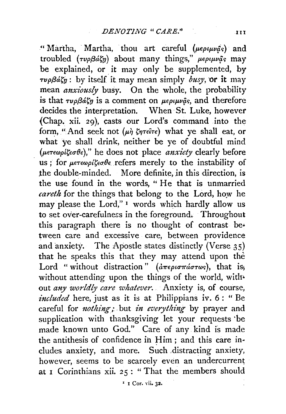"Martha, Martha, thou art careful *(peptpras)* and troubled  $(r\nu\rho\beta a\xi\eta)$  about many things,<sup>"</sup>  $\mu\epsilon\rho\mu\nu\hat{a}$  may be explained, or it may only be supplemented, by  $\tau\nu\rho\beta\acute{a}\acute{g}_{\eta}$ : by itself it may mean simply *busy*, or it may mean *anxiously* busy. On the whole, the probability is that  $\tau\nu\rho\beta\acute{a}\xi\eta$  is a comment on  $\mu\epsilon\rho\mu\nu\hat{\varphi}s$ , and therefore decides the interpretation. When St. Luke, however {Chap. xii. 29), casts our Lord's command into the form, "And seek not  $(\mu \dot{\eta} \zeta \eta \tau \epsilon \hat{\imath} \tau \epsilon)$  what ye shall eat, or what ye shall drink, neither be ye of doubtful mind ( $\mu \epsilon \tau \epsilon \omega \rho i \zeta \epsilon \sigma \theta \epsilon$ )," he does not place *anxiety* clearly before us; for  $\mu \epsilon \tau \epsilon \omega \rho/\zeta \epsilon \sigma \theta \epsilon$  refers merely to the instability of the double-minded. More definite, in this direction, is the use found in the words, " He that is unmarried careth for the things that belong to the Lord, how he may please the Lord,"<sup>1</sup> words which hardly allow us to set over-carefulness in the foreground. Throughout this paragraph there is no thought of contrast be• tween care and excessive care, between providence and anxiety. The Apostle states distinctly (Verse  $35$ ) that he speaks this that they may attend upon the Lord "without distraction" ( $d\pi\epsilon\rho i\sigma\pi\omega\sigma\gamma\delta$ ), that is, without attending upon the things of the world, without *any worldly care whatever.* Anxiety is, of course, *included* here, just as it is at Philippians iv. 6: " Be careful for *nothing*; but *in everything* by prayer and supplication with thanksgiving let your requests ·be made known unto God." Care of any kind is made the antithesis of confidence in Him; and this care includes anxiety, and more. Such ,distracting anxiety, however, seems to be scarcely even an undercurrent at I Corinthians xii. 25 : "That the members should

' I Cor. vii. 32.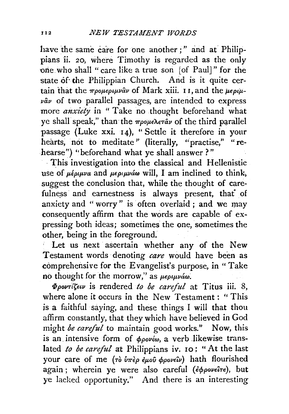have the same care for one another ; " and at Philippians ii. 20, where Timothy is regarded as the only one who shall "care like a true son [of Paul]" for the state of the Philippian Church. And is it quite certain that the  $\pi \rho \partial \mu \partial \rho \partial \nu$  of Mark xiii. 11, and the  $\mu \epsilon \rho \partial \mu$ *vav* of two parallel passages, are intended to express more *anxiety* in "Take no thought beforehand what ye shall speak," than the  $\pi\rho\omega\rho\lambda\epsilon\tau\hat{a}\nu$  of the third parallel passage (Luke xxi. 14), "Settle it therefore in your hearts, not to meditate" (literally, "practise," "rehearse") "beforehand what ye shall answer?"

· This investigation into the classical and Hellenistic use of  $\mu \epsilon \rho \mu \nu a$  and  $\mu \epsilon \rho \mu \nu a \omega$  will, I am inclined to think, suggest the conclusion that, while the thought of carefulness and earnestness is always present, that of anxiety and " worry " is often overlaid ; and we may consequently affirm that the words are capable of expressing both ideas; sometimes the one, sometimes the other, being in the foreground.

Let us next ascertain whether any of the New Testament words denoting *care* would have been as comprehensive for the Evangelist's purpose, in "Take no thought for the morrow," as  $\mu\epsilon\rho\mu\nu a\omega$ .

 $\Phi$ *povri''s*ew is rendered to be careful at Titus iii. 8, where alone it occurs in the New Testament : "This *is* a faithful saying, and these things I will that thou affirm constantly, that they which have believed in God might *be careful* to maintain good works." Now, this is an intensive form of *φρονέω*, a verb likewise translated *to be careful* at Philippians iv. 10; "At the last your care of me (τὸ ὑπèρ ἐμοῦ φρονεῖν) hath flourished again; wherein ye were also careful (¿poveîre), but ye lacked opportunity." And there is an interesting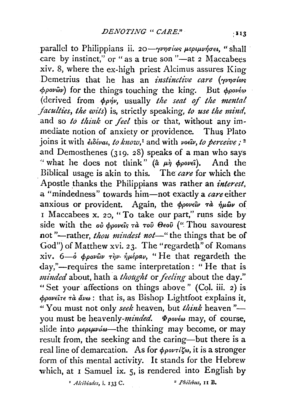parallel to Philippians ii. 20-yvnoios μεριμνήσει, "shall care by instinct," or " as a true son "-at 2 Maccabees xiv. 8, where the ex-high priest Alcimus assures King Demetrius that he has an *instinctive care* (*yvnolos*  $\varphi$ *pov*ωv) for the things touching the king. But  $\varphi$ *pové* (derived from  $\phi \rho \dot{\eta} \nu$ , usually *the seat of the mental faculties, the wits) is,* strictly speaking, *to use the mind,*  and so *to think* or *feel* this or that, without any immediate notion of anxiety or providence. Thus Plato joins it with *ειδέναι*, *to know*,<sup>*τ*</sup> and with *voεu*, *to perceive*;<sup>2</sup> and Demosthenes ( $319.28$ ) speaks of a man who says " what he does not think" ( $\hat{a}$   $\mu \hat{\eta}$   $\phi \rho \circ \nu \epsilon \hat{\imath}$ ). And the . Biblical usage is akin to this. The *care* for which the Apostle \_thanks the Philippians was rather an *interest,*  a "mindedness" towards him-not exactly a *care* either anxious or provident. Again, the *ppovely ra ήμων* of  $\frac{1}{1}$  Maccabees x. 20, "To take our part," runs side by side with the *ou opoveis*  $\tau \hat{a}$   $\tau o\hat{v}$   $\theta$ *eov* ("Thou savourest not "-rather, *thou mindest not*-" the things that be of God") of Matthew xvi. 23. The "regardeth" of Romans xiv. 6-o *ppovwv rip. iplepav*, "He that regardeth the day,"—requires the same interpretation: "He that is *minded* about, hath a *thought* or *feeling* about the day." "Set your affections on things above" (Col. iii. 2) is *cppovf.'ire ia llvm* : that is, as Bishop Lightfoot explains it, <sup>44</sup> You must not only *seek* heaven, but *think* heaven "you must be *heavenly-minded*.  $\Phi_{\rho o\nu\epsilon\omega}$  may, of course, slide into  $\mu \epsilon \rho \mu \nu \dot{\alpha} \omega$ —the thinking may become, or may result from, the seeking and the caring-but there is a real line of demarcation. As for *φροντίζω*, it is a stronger form of this mental activity. It stands for the Hebrew which, at I Samuel ix. 5, is rendered into English by

• *A lcibiades,* i. I 33 C. 2 *Phi!cbus,* 11 B.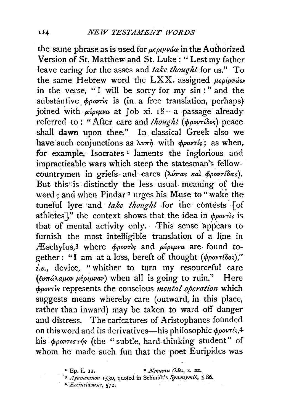the same phrase as is used for *μεριμνάω* in the Authorized Version of St. Matthew and St. Luke: "Lest my father leave caring for the asses and *take thought* for us." To the same Hebrew word the LXX. assigned  $\mu \epsilon \rho \mu \nu \dot{\alpha} \omega$ in the verse, "I will be sorry for my  $sin$  :" and the substantive  $\phi$ *povris* is (in a free translation, perhaps) joined with  $\mu \epsilon \rho \psi \nu a$  at Job xi. 18-a passage already referred to: "After care and *thought* (ppovridos) peace shall dawn upon thee." In classical Greek also we have such conjunctions as  $\lambda v \pi \dot{\eta}$  with  $\phi \rho \dot{\rho}$  as when. for example, Isocrates<sup>1</sup> laments the inglorious and impractieable wars which steep the statesman's fellowcountrymen in griefs- and cares ( $\lambda \hat{v}$ *mas kal*  $\phi \hat{p}$ *ovribas*). But this is distinctly the less usual meaning of the word; and when Pindar<sup>2</sup> urges his Muse to "wake the tuneful lyre and *take thought* for the contests  $\lceil$  of athletes]," the context shows that the idea in  $\phi_{\text{pov7}}$  is that of mental activity only. This sense appears to furnish the most intelligible translation of a line in *A*Eschylus,<sup>3</sup> where *copovris* and  $\mu \epsilon \rho \mu \nu a$  are found together : "I am at a loss, bereft of thought  $(\phi \rho o \nu \tau i \delta o s)$ ," *i.e.,* device, " whither to turn my resourceful care *(ευπάλαμον μέριμναν)* when all is going to ruin." Here  $\phi$ *povris* represents the conscious *mental operation* which suggests means whereby care (outward, in this place, rather than inward) may be taken to ward off danger and distress. The caricatures of Aristophanes founded on this word and its derivatives—his philosophic  $\phi$ *povris*,4 his  $\phi$ *povtioths* (the "subtle, hard-thinking student" of whom he made such fun that the poet Euripides was.

<sup>1</sup>Ep. ii. 11. • *Nemamz ()des,* x. 22.

<sup>&</sup>lt;sup>3</sup> Agamemnon 1530, quoted in Schmidt's Synonymik, § 86.

<sup>4,</sup> *Ecclusia:ousfl',* 572.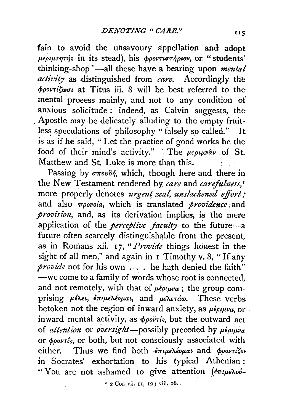fain to avoid the unsavoury appellation **and** adopt  $\mu \epsilon \rho \mu \nu \eta \tau \eta'$  in its stead), his  $\phi \rho \rho \nu \tau \nu \sigma \tau \eta' \rho \nu \rho \nu$ , or. "students' thinking-shop "-all these have a bearing upon *mental activity* as distinguished from *care.* Accordingly the  $\phi$ *povrit*wa at Titus iii. 8 will be best referred to the mental proeess mainly, and not to any condition of anxious solicitude: indeed, as Calvin suggests, the . Apostle may be delicately alluding to the empty fruitless speculations of philosophy " falsely so called." It is as if he said, "Let the practice of good works be the food of their mind's activity." The  $\mu \epsilon \rho \mu \nu \hat{a} \nu$  of St. Matthew and St. Luke is more than this.

Passing by  $\sigma \pi o v \delta \eta$ , which, though here and there in the New Testament rendered by *care* and *carefulness*,<sup>*1*</sup> more properly denotes *urgent zeal*, *unslackened effort*; and also *7rpovola,* which is translated *providence* .and *provision,* and, as its derivation implies, is the mere application of the *perceptive faculty* to the future-a future often scarcely distinguishable from the present, as in Romans xii. 17, *"Provide* things honest in the sight of all men," and again in  $\bar{I}$  Timothy v. 8, "If any *provide* not for his own . . . he hath denied the faith" -we come to a family of words whose root is connected, and not remotely, with that of  $\mu \epsilon \rho \mu \nu \alpha$ ; the group comprising μέλει, επιμελέομαι, and μελετάω. These verbs betoken not the region of inward anxiety, as  $\mu \epsilon_f \mu \nu a$ , or inward mental activity, as  $\phi$ povris, but the outward act of *attention* or *oversight*—possibly preceded by  $\mu \epsilon \rho \mu \nu \alpha$ or  $\phi_{\text{over}}$ , or both, but not consciously associated with either. · Thus we find both *e7T'tJ.LeA.€op.at* and *<f>povTit(J)o*  in Socrates' exhortation to his typical Athenian : "You are not ashamed to give attention (erueλού-

1 2 Cor. vii. 11, 12; viii. 16 •.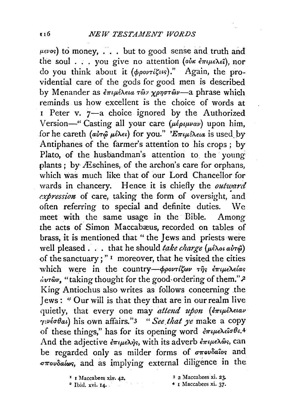$f(x)$  ( $f(x)$ ) to money,  $\ldots$  but to good sense and truth and the soul . . . you give no attention (oix  $\epsilon \pi \mu \epsilon \lambda \epsilon \hat{i}$ ), nor do you think about it (ppovrigets)." Again, the providential care of the gods for good men is described by Menander as *επιμέλεια των χρηστών*—a phrase which reminds us how excellent is the choice of words at <sup>r</sup>Peter v. 7-a choice ignored by the Authorized Version-" Casting all your care ( $\mu \epsilon \rho \mu \nu \alpha \nu$ ) upon him, for he careth *(αὐτῷ μ*έλει) for you." *'Επιμέλεια* is used by Antiphanes of the farmer's attention to his crops; by Plato, of the husbandman's attention to the young plants; by Æschines, of the archon's care for orphans, which was much like that of our Lord Chancellor for wards in chancery. Hence it is chiefly the *outward*  expression of care, taking the form of oversight, and often referring to special and definite duties. We meet with the same usage in the Bible. Among the acts of Simon Maccabæus, recorded on tables of brass, it is mentioned that " the Jews and priests were well pleased . . . that he should *take charge* (μέλοι αὐτῷ) of the sanctuary ; " 1 moreover, that he visited the cities which were in the country- $\phi$ *ροντίζων της έπιμελείας dur&v*, "taking thought for the good-ordering of them."<sup>2</sup> King Antiochus also writes as follows concerning the Jews: " Our will is that they that are in our realm live quietly, that every one may *attend upon* (επιμέλειαν *ry=ve(TOat)* his own affairs."3 *"See.that ye* make a copy of these things," has for its opening word επιμελείσθε.<sup>4</sup> And the adjective  $\epsilon \pi \mu \epsilon \lambda \dot{\eta} s$ , with its adverb  $\epsilon \pi \mu \epsilon \lambda \hat{\omega} s$ , can be regarded only as milder forms of  $\sigma\pi\omega\delta\hat{a}$ os and  $\sigma$ *Tovoalos*, and as implying external diligence in the

 $\frac{1}{2}$  I Maccabees xiv. 42.

a 2 Maccabees xi. 2J.

4 1 l\Iaccabees xi. 37.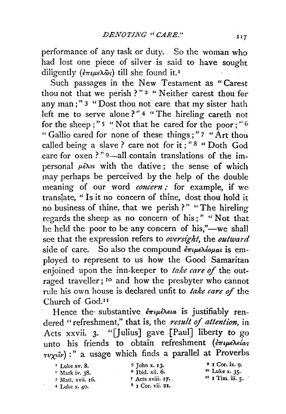performance of any task or duty. So the woman who had lost one piece of silver is said to have sought diligently ( $\epsilon \pi \mu \epsilon \lambda \hat{\omega}_S$ ) till she found it.<sup>1</sup>

Such passages in the New Testament as " Carest thou not that we perish ?"<sup>2</sup> " Neither carest thou for any man;" 3 " Dost thou not care that my sister hath left me to serve alone?" 4 "The hireling careth not for the sheep;"<sup>5</sup> "Not that he cared for the poor;"<sup>6</sup> " Gallio cared for none of these things;" 7 "Art thou called being a slave ? care not for it ; " 8 " Doth God care for  $\alpha$  oxen ?" 9—all contain translations of the impersonal  $\mu \in \mathbb{R}$ . with the dative; the sense of which may perhaps be perceived by the help of the double meaning of our word *concern;* for example, if we translate, " Is it no concern of thine, dost thou hold it no business of thine, that we perish?" "The hireling regards the sheep as no concern of his ; " " Not that he held the poor to be any concern of his,"—we shall see that the expression refers to *oversight,* the *outward*  side of care. So also the compound  $\epsilon \pi \mu \epsilon \lambda \epsilon \omega \mu a \iota$  is employed to represent to us how the Good Samaritan enjoined upon the inn-keeper to *take care* of the outraged traveller; <sup>10</sup> and how the presbyter who cannot rule his own house is declared unfit to *take care* of the Church of God. <sup>11</sup>

Hence the substantive  $\frac{2}{r}$ *μέλεια* is justifiably rendered "refreshment," that is, the *result* of *attention,* in Acts xxvii. 3. "[Julius] gave [Paul] liberty to go unto his friends to obtain refreshment ( $\epsilon \pi \mu$ e $\lambda \epsilon /a_{S}$  $\tau v \chi \epsilon \hat{i} v$  :" a usage which finds a parallel at Proverbs

 $'$  Luke xv. 8.<br><sup>2</sup> Mark iv. 38. 3 Matt. xvii. 16. 4 Luke x. 40.

s John x. 13· 6 Ibid. xii. 6. 7 Acts xviii. 17.  $8$  I Cor. vii. 21.

<sup>9</sup>I Cor. ix. 9· <sup>10</sup> Luke x. 35.  $"I$  Tim. iii.  $\varsigma$ .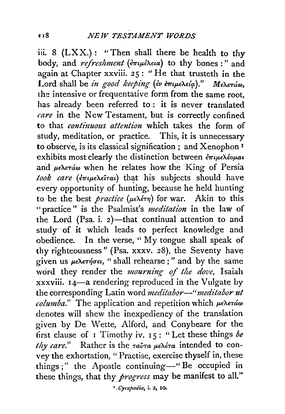iii. 8 (LXX.): "Then shall there be health to thy body, and *refreshment* ( $\epsilon \pi \mu \epsilon \lambda \epsilon a$ ) to thy bones:" and again at Chapter xxviii. 25: "He that trusteth in the Lord shall be *in good keeping* (εν επιμελεία)." Μελετάω, the intensive or frequentative form from the same root, has already been referred to : it is never translated *care* in the New Testament, but is correctly confined to that *continuous attention* which takes the form of study, meditation, or practice. This, it is unnecessary to observe, is its classical signification ; and Xenophon 1 exhibits most clearly the distinction between  $\epsilon \pi_i \mu \epsilon \lambda \epsilon_0 \mu a \iota$ and  $\mu \epsilon \lambda \epsilon \tau d\omega$  when he relates how the King of Persia *took care (
<i>empeAetral*) that his subjects should have every opportunity of hunting, because he held hunting to be the best *practice* (μελέτη) for war. Akin to this "practice" is the Psalmist's *meditation* in the law of the Lord (Psa. i.  $2$ )-that continual attention to and study of it which leads to perfect knowledge and obedience. In the verse, ''My tongue shall speak of thy righteousness" (Psa. xxxv. 28), the Seventy have given us μελετήσει, " shall rehearse;" and by the same word they render the *mourning of the dove,* Isaiah xxxviii. 14-a rendering reproduced in the Vulgate by the corresponding Latin word *meditabor*-" meditabor ut *columba.*" The application and repetition which  $\mu \in \Lambda$ eráw denotes will shew the inexpediency of the translation given by De Wette, Alford, and Conybeare for the first clause of I Timothy iv. 15: "Let these things be *thy care.*" Rather is the *ταῦτα μελέτα* intended to convey the exhortation, " Practise, exercise thyself in, these things;" the Apostle continuing-" Be occupied in these things, that thy *progress* may be manifest to all."

*<sup><i>•</sup>* Cyropædia, *i. 2*, *10*.</sup>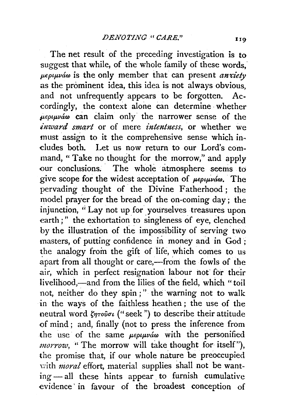The net result of the preceding investigation is to suggest that while, of the whole family of these words.  $\mu\epsilon\rho\mu\nu\acute{a}\omega$  is the only member that can present *anxiety* as the prominent idea, this idea is not always obvious, and not unfrequently appears to be forgotten. Accordingly, the context alone can determine whether *fteptp.Va(J)* can claim only. the narrOWer Sense Of the *inward smart* or of mere *intentness*, or whether we must assign to it the comprehensive sense which indudes both. Let us now return to our Lord's command, " Take no thought for the morrow," and apply our conclusions. The whole atmosphere seems to give scope for the widest acceptation of  $\mu\epsilon\rho\mu\nu\acute{a}\omega$ . The pervading thought of. the Divine Fatherhood; the model prayer for the bread of the on-coming day; the injunction, "Lay not up for yourselves treasures upon earth ;" the exhortation to singleness of eye, clenched by the illustration of the impossibility of serving two masters, of putting confidence in money and in God ; the analogy from the gift of life, which comes to us apart from all thought or care,-from the fowls of the air, which in perfect resignation labour not for their livelihood,-and from the lilies of the field, which "toil not, neither do they spin ; " the warning not to walk in the ways of the faithless heathen ; the use of the neutral word  $\zeta$ *ntoũou* ("seek") to describe their attitude of mind; and, finally (not to press the inference from the use of the same  $\mu \epsilon \rho \mu \nu \dot{\alpha} \omega$  with the personified *:morrow,* "The morrow will take thought for itself"), the promise that, if our whole nature be preoccupied vith *moral* effort, material supplies shall not be wanting- all these hints appear to furnish cumulative evidence ' in favour of the broadest conception of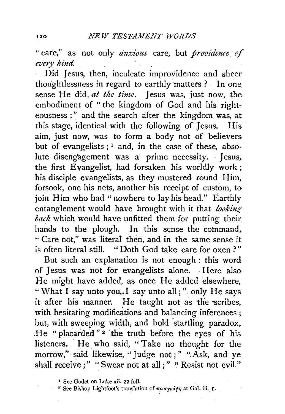"care," as not only *anxious* care, but *providence* of *every kind.* 

Did Jesus, then, inculcate improvidence and sheer thoughtlessness in regard to earthly matters ? In one sense He did, *at the time.* Jesus was, just now, the embodiment of " the kingdom of God and his righteousness ; " and the search after the kingdom was, at this stage, identical with the following of Jesus. His aim, just now, was to form a body not of believers but of evangelists  $; 1$  and, in the case of these, absolute disengagement was a prime necessity. · Jesus. the first Evangelist, had forsaken his worldly work; his disciple evangelists, as they mustered round Him, forsook, one his nets, another his receipt of custom, to join Him who had "nowhere to lay his head." Earthly entanglement would have brought with it that *lookingback* which would have unfitted them for putting their hands to the plough. In this sense the command, " Care not," was literal then, and in the same sense it is often literal still. " Doth God take care for oxen ? "

But such an explanation is not enough : this word of Jesus was not for evangelists alone. Here also He might have added, as once He added elsewhere, "What I say unto you,. I say unto all ; " only He says it after his manner. He taught not as the scribes, with hesitating modifications and balancing inferences ; but, with sweeping width, and bold startling paradox, . He "placarded"<sup>2</sup> the truth before the eyes of his listeners. He who said, " Take no thought for the morrow," said likewise, "Judge not; " "Ask, and ye shall receive;" "Swear not at all;" "Resist not evil."

 $i$  See Godet on Luke xii. 22 foll.

<sup>&</sup>lt;sup>2</sup> See Bishop Lightfoot's translation of  $\pi\rho$ orypatp at Gal. iii. I.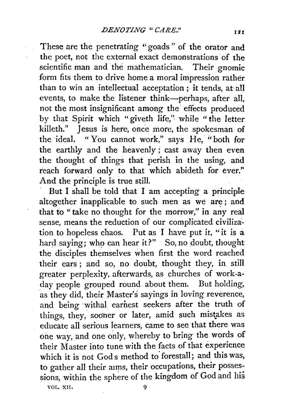These are the penetrating "goads" of the orator and the poet, not the external exact demonstrations of the scientific man and the mathematician. Their gnomic form fits them to drive home a moral impression rather than to win an intellectual acceptation ; it tends, at all events, to make the listener think-perhaps, after all, not the most insignificant among the effects produced by that Spirit which "giveth life," while "the letter killeth." Jesus is here, once more, the spokesman of the ideal. " You cannot work," says He, "both for the earthly and the heavenly ; cast away then even the thought of things that perish in the using, and reach forward only to that which abideth for ever." And the principle is true still.

But I shall be told that I am accepting a principle altogether inapplicable to such men as we are ; and that to "take no thought for the morrow," in any real sense, means the reduction of our complicated civilization to hopeless chaos. Put as I have put it, "it is a hard saying; who can hear it?" So, no doubt, thought the disciples themselves when first the word reached their ears; and so, no doubt, thought they, in still greater perplexity. afterwards, as churches of work-aday people grouped round about them. But holding, as they did, their Master's sayings in loving reverence, and being withal earnest seekers after the truth of things, they, sooner or later, amid such mistakes as educate all serious learners, came to see that there was one way, and one only, whereby to bring the words of their Master into tune with the facts of that experience which it is not Gods method to forestall; and this was, to gather all their aims, their occupations, their possessions, within the sphere of the kingdom of God and his VOL. XII. 9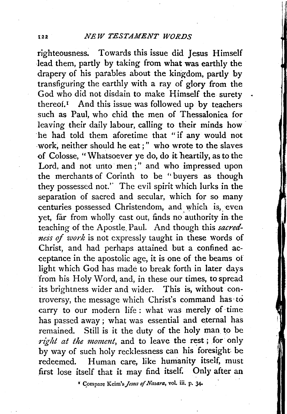righteousness. Towards this issue did Jesus Himself lead them, partly by taking from what was earthly the drapery of his parables about the kingdom, partly by transfiguring the earthly with a ray of glory from the God who did not disdain to make Himself the surety thereof.<sup> $I$ </sup> And this issue was followed up by teachers such as Paul, who chid the men of Thessalonica for leaving their daily labour, calling to their minds how he had told them aforetime that "if any would not work, neither should he eat;" who wrote to the slaves of Colosse, "Whatsoever ye do, do it heartily, as to the Lord, and not unto men;" and who impressed upon the merchants of Corinth to be ''buyers as though they possessed not.'' The evil spirit which lurks in the separation of sacred and secular, which for so many centuries possessed Christendom, and which is, even yet, far from wholly cast out, finds no authority in the teaching of the Apostle. Paul. And though this *sacredness of work* is not expressly taught in these words of Christ, and had perhaps attained but a confined acceptance in the apostolic age, it is one of the beams of light which God has made to break forth in later days from his Holy Word, and, in these our times, to spread its brightness wider and wider. This is, without controversy, the message which Christ's command has·to carry to our modern life: what was merely of time has passed away; what was essential and eternal has remained. Still is it the duty of the holy man to be right at the moment, and to leave the rest; for only by way of such holy recklessness can his foresight be redeemed. Human care, like humanity itself, must first lose itself that it may find itself. Only after an

<sup>1</sup> Compare Keim's Jesus of Nazara, vol. iii. p. 34.